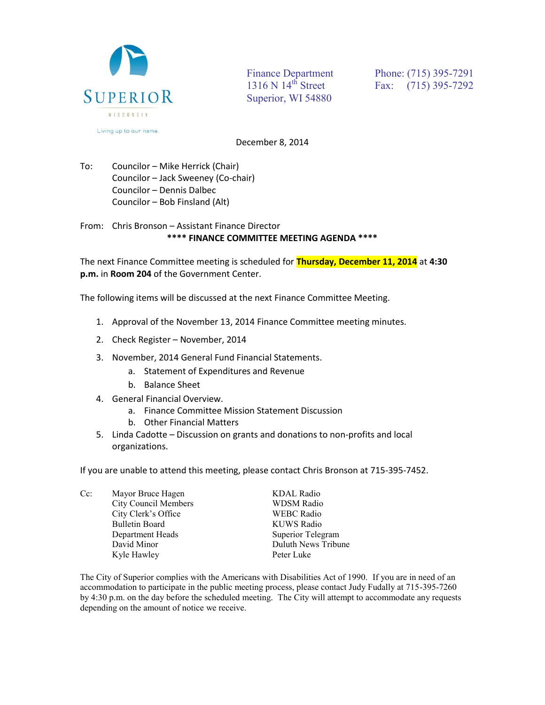

Superior, WI 54880

Finance Department<br>
1316 N 14<sup>th</sup> Street<br>
Fax: (715) 395-7292 Fax: (715) 395-7292

December 8, 2014

To: Councilor – Mike Herrick (Chair) Councilor – Jack Sweeney (Co-chair) Councilor – Dennis Dalbec Councilor – Bob Finsland (Alt)

From: Chris Bronson – Assistant Finance Director **\*\*\*\* FINANCE COMMITTEE MEETING AGENDA \*\*\*\*** 

The next Finance Committee meeting is scheduled for **Thursday, December 11, 2014** at **4:30 p.m.** in **Room 204** of the Government Center.

The following items will be discussed at the next Finance Committee Meeting.

- 1. Approval of the November 13, 2014 Finance Committee meeting minutes.
- 2. Check Register November, 2014
- 3. November, 2014 General Fund Financial Statements.
	- a. Statement of Expenditures and Revenue
	- b. Balance Sheet
- 4. General Financial Overview.
	- a. Finance Committee Mission Statement Discussion
	- b. Other Financial Matters
- 5. Linda Cadotte Discussion on grants and donations to non-profits and local organizations.

If you are unable to attend this meeting, please contact Chris Bronson at 715-395-7452.

Cc: Mayor Bruce Hagen KDAL Radio City Council Members WDSM Radio City Clerk's Office WEBC Radio Bulletin Board KUWS Radio Department Heads Superior Telegram David Minor Duluth News Tribune Kyle Hawley Peter Luke

The City of Superior complies with the Americans with Disabilities Act of 1990. If you are in need of an accommodation to participate in the public meeting process, please contact Judy Fudally at 715-395-7260 by 4:30 p.m. on the day before the scheduled meeting. The City will attempt to accommodate any requests depending on the amount of notice we receive.